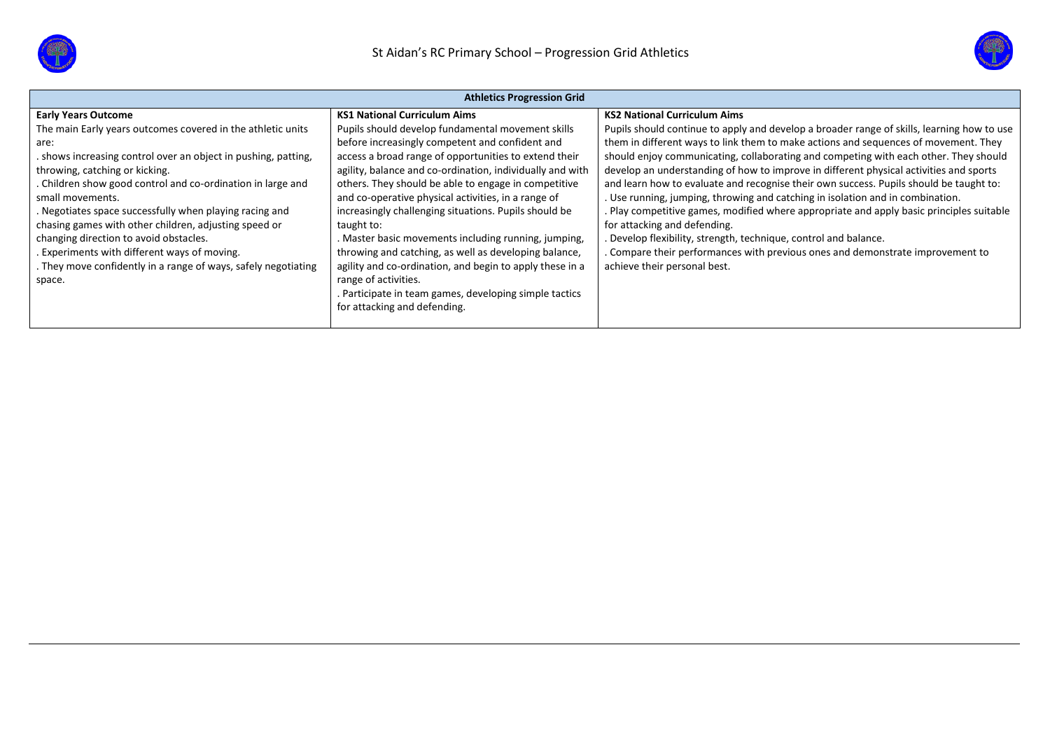



| <b>Athletics Progression Grid</b>                              |                                                           |                                                                                            |  |  |  |  |  |  |
|----------------------------------------------------------------|-----------------------------------------------------------|--------------------------------------------------------------------------------------------|--|--|--|--|--|--|
| <b>Early Years Outcome</b>                                     | <b>KS1 National Curriculum Aims</b>                       | <b>KS2 National Curriculum Aims</b>                                                        |  |  |  |  |  |  |
| The main Early years outcomes covered in the athletic units    | Pupils should develop fundamental movement skills         | Pupils should continue to apply and develop a broader range of skills, learning how to use |  |  |  |  |  |  |
| are:                                                           | before increasingly competent and confident and           | them in different ways to link them to make actions and sequences of movement. They        |  |  |  |  |  |  |
| . shows increasing control over an object in pushing, patting, | access a broad range of opportunities to extend their     | should enjoy communicating, collaborating and competing with each other. They should       |  |  |  |  |  |  |
| throwing, catching or kicking.                                 | agility, balance and co-ordination, individually and with | develop an understanding of how to improve in different physical activities and sports     |  |  |  |  |  |  |
| . Children show good control and co-ordination in large and    | others. They should be able to engage in competitive      | and learn how to evaluate and recognise their own success. Pupils should be taught to:     |  |  |  |  |  |  |
| small movements.                                               | and co-operative physical activities, in a range of       | . Use running, jumping, throwing and catching in isolation and in combination.             |  |  |  |  |  |  |
| . Negotiates space successfully when playing racing and        | increasingly challenging situations. Pupils should be     | . Play competitive games, modified where appropriate and apply basic principles suitable   |  |  |  |  |  |  |
| chasing games with other children, adjusting speed or          | taught to:                                                | for attacking and defending.                                                               |  |  |  |  |  |  |
| changing direction to avoid obstacles.                         | . Master basic movements including running, jumping,      | . Develop flexibility, strength, technique, control and balance.                           |  |  |  |  |  |  |
| . Experiments with different ways of moving.                   | throwing and catching, as well as developing balance,     | Compare their performances with previous ones and demonstrate improvement to               |  |  |  |  |  |  |
| . They move confidently in a range of ways, safely negotiating | agility and co-ordination, and begin to apply these in a  | achieve their personal best.                                                               |  |  |  |  |  |  |
| space.                                                         | range of activities.                                      |                                                                                            |  |  |  |  |  |  |
|                                                                | . Participate in team games, developing simple tactics    |                                                                                            |  |  |  |  |  |  |
|                                                                | for attacking and defending.                              |                                                                                            |  |  |  |  |  |  |
|                                                                |                                                           |                                                                                            |  |  |  |  |  |  |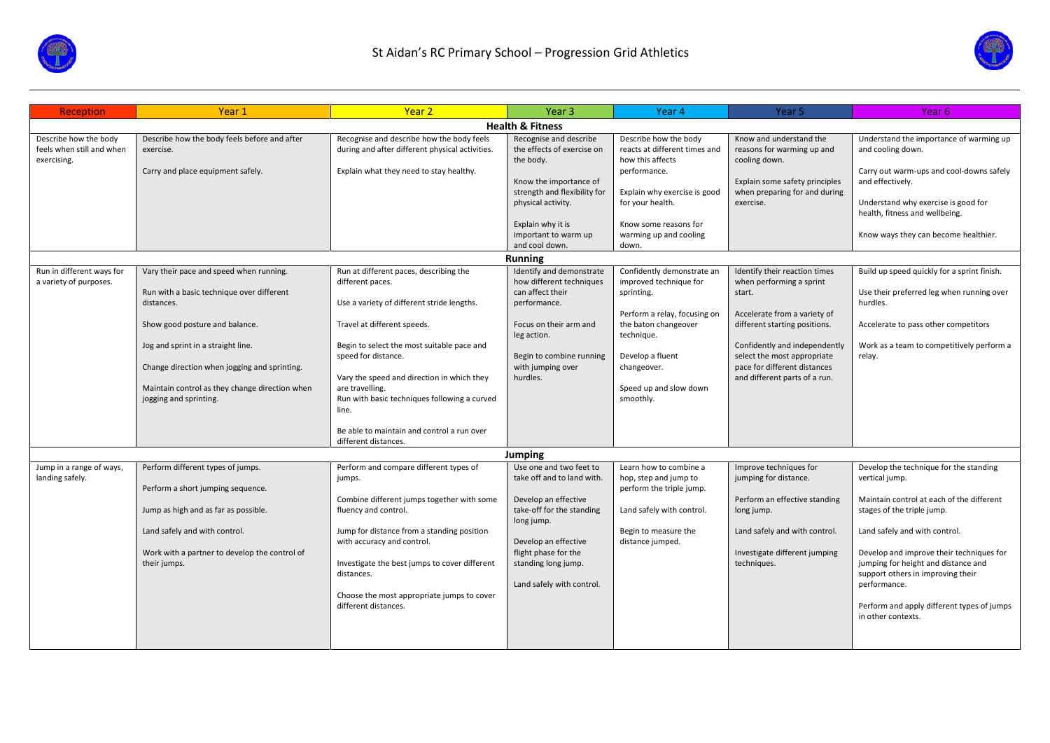



| Reception                                                         | Year <sub>1</sub>                                                                                                                                                                                                                                                                                      | Year <sub>2</sub>                                                                                                                                                                                                                                                                                                                                                                                            | Year 3                                                                                                                                                                                                                       | Year 4                                                                                                                                                                                                             | Year 5                                                                                                                                                                                                                                                                | Year 6                                                                                                                                                                                                                                                                                                                                                                           |
|-------------------------------------------------------------------|--------------------------------------------------------------------------------------------------------------------------------------------------------------------------------------------------------------------------------------------------------------------------------------------------------|--------------------------------------------------------------------------------------------------------------------------------------------------------------------------------------------------------------------------------------------------------------------------------------------------------------------------------------------------------------------------------------------------------------|------------------------------------------------------------------------------------------------------------------------------------------------------------------------------------------------------------------------------|--------------------------------------------------------------------------------------------------------------------------------------------------------------------------------------------------------------------|-----------------------------------------------------------------------------------------------------------------------------------------------------------------------------------------------------------------------------------------------------------------------|----------------------------------------------------------------------------------------------------------------------------------------------------------------------------------------------------------------------------------------------------------------------------------------------------------------------------------------------------------------------------------|
|                                                                   |                                                                                                                                                                                                                                                                                                        |                                                                                                                                                                                                                                                                                                                                                                                                              | <b>Health &amp; Fitness</b>                                                                                                                                                                                                  |                                                                                                                                                                                                                    |                                                                                                                                                                                                                                                                       |                                                                                                                                                                                                                                                                                                                                                                                  |
| Describe how the body<br>feels when still and when<br>exercising. | Describe how the body feels before and after<br>exercise.<br>Carry and place equipment safely.                                                                                                                                                                                                         | Recognise and describe how the body feels<br>during and after different physical activities.<br>Explain what they need to stay healthy.                                                                                                                                                                                                                                                                      | Recognise and describe<br>the effects of exercise on<br>the body.<br>Know the importance of<br>strength and flexibility for<br>physical activity.<br>Explain why it is<br>important to warm up<br>and cool down.             | Describe how the body<br>reacts at different times and<br>how this affects<br>performance.<br>Explain why exercise is good<br>for your health.<br>Know some reasons for<br>warming up and cooling<br>down.         | Know and understand the<br>reasons for warming up and<br>cooling down.<br>Explain some safety principles<br>when preparing for and during<br>exercise.                                                                                                                | Understand the importance of warming up<br>and cooling down.<br>Carry out warm-ups and cool-downs safely<br>and effectively.<br>Understand why exercise is good for<br>health, fitness and wellbeing.<br>Know ways they can become healthier.                                                                                                                                    |
|                                                                   |                                                                                                                                                                                                                                                                                                        |                                                                                                                                                                                                                                                                                                                                                                                                              | <b>Running</b>                                                                                                                                                                                                               |                                                                                                                                                                                                                    |                                                                                                                                                                                                                                                                       |                                                                                                                                                                                                                                                                                                                                                                                  |
| Run in different ways for<br>a variety of purposes.               | Vary their pace and speed when running.<br>Run with a basic technique over different<br>distances.<br>Show good posture and balance.<br>Jog and sprint in a straight line.<br>Change direction when jogging and sprinting.<br>Maintain control as they change direction when<br>jogging and sprinting. | Run at different paces, describing the<br>different paces.<br>Use a variety of different stride lengths.<br>Travel at different speeds.<br>Begin to select the most suitable pace and<br>speed for distance.<br>Vary the speed and direction in which they<br>are travelling.<br>Run with basic techniques following a curved<br>line.<br>Be able to maintain and control a run over<br>different distances. | Identify and demonstrate<br>how different techniques<br>can affect their<br>performance.<br>Focus on their arm and<br>leg action.<br>Begin to combine running<br>with jumping over<br>hurdles.                               | Confidently demonstrate an<br>improved technique for<br>sprinting.<br>Perform a relay, focusing on<br>the baton changeover<br>technique.<br>Develop a fluent<br>changeover.<br>Speed up and slow down<br>smoothly. | Identify their reaction times<br>when performing a sprint<br>start.<br>Accelerate from a variety of<br>different starting positions.<br>Confidently and independently<br>select the most appropriate<br>pace for different distances<br>and different parts of a run. | Build up speed quickly for a sprint finish.<br>Use their preferred leg when running over<br>hurdles.<br>Accelerate to pass other competitors<br>Work as a team to competitively perform a<br>relay.                                                                                                                                                                              |
|                                                                   |                                                                                                                                                                                                                                                                                                        |                                                                                                                                                                                                                                                                                                                                                                                                              | Jumping                                                                                                                                                                                                                      |                                                                                                                                                                                                                    |                                                                                                                                                                                                                                                                       |                                                                                                                                                                                                                                                                                                                                                                                  |
| Jump in a range of ways,<br>landing safely.                       | Perform different types of jumps.<br>Perform a short jumping sequence.<br>Jump as high and as far as possible.<br>Land safely and with control.<br>Work with a partner to develop the control of<br>their jumps.                                                                                       | Perform and compare different types of<br>jumps.<br>Combine different jumps together with some<br>fluency and control.<br>Jump for distance from a standing position<br>with accuracy and control.<br>Investigate the best jumps to cover different<br>distances.<br>Choose the most appropriate jumps to cover<br>different distances.                                                                      | Use one and two feet to<br>take off and to land with.<br>Develop an effective<br>take-off for the standing<br>long jump.<br>Develop an effective<br>flight phase for the<br>standing long jump.<br>Land safely with control. | Learn how to combine a<br>hop, step and jump to<br>perform the triple jump.<br>Land safely with control.<br>Begin to measure the<br>distance jumped.                                                               | Improve techniques for<br>jumping for distance.<br>Perform an effective standing<br>long jump.<br>Land safely and with control.<br>Investigate different jumping<br>techniques.                                                                                       | Develop the technique for the standing<br>vertical jump.<br>Maintain control at each of the different<br>stages of the triple jump.<br>Land safely and with control.<br>Develop and improve their techniques for<br>jumping for height and distance and<br>support others in improving their<br>performance.<br>Perform and apply different types of jumps<br>in other contexts. |